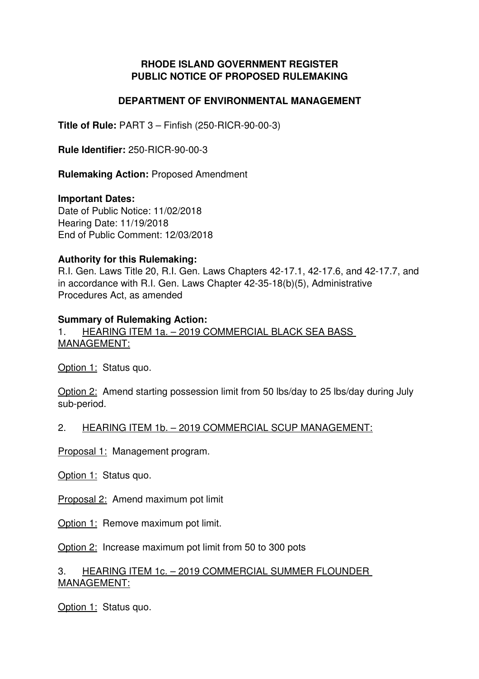## **RHODE ISLAND GOVERNMENT REGISTER PUBLIC NOTICE OF PROPOSED RULEMAKING**

### **DEPARTMENT OF ENVIRONMENTAL MANAGEMENT**

**Title of Rule: PART 3 – Finfish (250-RICR-90-00-3)** 

**Rule Identifier: 250-RICR-90-00-3** 

**Rulemaking Action:** Proposed Amendment

#### **Important Dates:**

Date of Public Notice: 11/02/2018 Hearing Date: 11/19/2018 End of Public Comment: 12/03/2018

### **Authority for this Rulemaking:**

R.I. Gen. Laws Title 20, R.I. Gen. Laws Chapters 4217.1, 4217.6, and 4217.7, and in accordance with R.I. Gen. Laws Chapter 42-35-18(b)(5), Administrative Procedures Act, as amended

### **Summary of Rulemaking Action:**

1. HEARING ITEM 1a. – 2019 COMMERCIAL BLACK SEA BASS MANAGEMENT:

Option 1: Status quo.

Option 2: Amend starting possession limit from 50 lbs/day to 25 lbs/day during July sub-period.

### 2. HEARING ITEM 1b. – 2019 COMMERCIAL SCUP MANAGEMENT:

Proposal 1: Management program.

Option 1: Status quo.

Proposal 2: Amend maximum pot limit

Option 1: Remove maximum pot limit.

Option 2: Increase maximum pot limit from 50 to 300 pots

### 3. HEARING ITEM 1c. – 2019 COMMERCIAL SUMMER FLOUNDER MANAGEMENT:

Option 1: Status quo.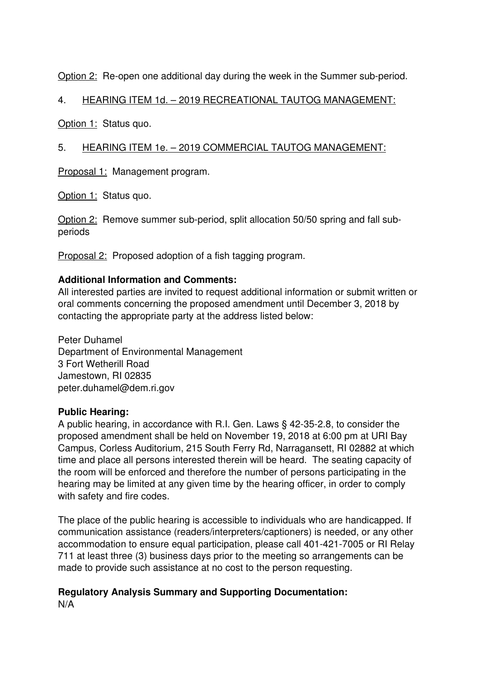Option 2: Re-open one additional day during the week in the Summer sub-period.

# 4. HEARING ITEM 1d. – 2019 RECREATIONAL TAUTOG MANAGEMENT:

Option 1: Status quo.

# 5. HEARING ITEM 1e. – 2019 COMMERCIAL TAUTOG MANAGEMENT:

Proposal 1: Management program.

Option 1: Status quo.

Option 2: Remove summer sub-period, split allocation 50/50 spring and fall subperiods

Proposal 2: Proposed adoption of a fish tagging program.

## **Additional Information and Comments:**

All interested parties are invited to request additional information or submit written or oral comments concerning the proposed amendment until December 3, 2018 by contacting the appropriate party at the address listed below:

Peter Duhamel Department of Environmental Management 3 Fort Wetherill Road Jamestown, RI 02835 peter.duhamel@dem.ri.gov

## **Public Hearing:**

A public hearing, in accordance with R.I. Gen. Laws  $\S$  42-35-2.8, to consider the proposed amendment shall be held on November 19, 2018 at 6:00 pm at URI Bay Campus, Corless Auditorium, 215 South Ferry Rd, Narragansett, RI 02882 at which time and place all persons interested therein will be heard. The seating capacity of the room will be enforced and therefore the number of persons participating in the hearing may be limited at any given time by the hearing officer, in order to comply with safety and fire codes.

The place of the public hearing is accessible to individuals who are handicapped. If communication assistance (readers/interpreters/captioners) is needed, or any other accommodation to ensure equal participation, please call 401-421-7005 or RI Relay 711 at least three (3) business days prior to the meeting so arrangements can be made to provide such assistance at no cost to the person requesting.

#### **Regulatory Analysis Summary and Supporting Documentation:** N/A